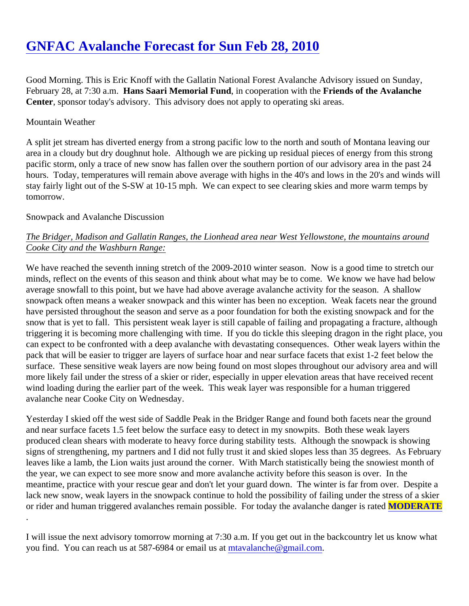# [GNFAC Avalanche Forecast for Sun Feb 28, 201](https://www.mtavalanche.com/forecast/10/02/28)0

Good Morning. This is Eric Knoff with the Gallatin National Forest Avalanche Advisory issued on Sunday, February 28, at 7:30 a.mHans Saari Memorial Fund, in cooperation with the Friends of the Avalanche Center, sponsor today's advisory. This advisory does not apply to operating ski areas.

#### Mountain Weather

A split jet stream has diverted energy from a strong pacific low to the north and south of Montana leaving our area in a cloudy but dry doughnut hole. Although we are picking up residual pieces of energy from this strong pacific storm, only a trace of new snow has fallen over the southern portion of our advisory area in the past 24 hours. Today, temperatures will remain above average with highs in the 40's and lows in the 20's and winds stay fairly light out of the S-SW at 10-15 mph. We can expect to see clearing skies and more warm temps by tomorrow.

#### Snowpack and Avalanche Discussion

## The Bridger, Madison and Gallatin Ranges, the Lionhead area near West Yellowstone, the mountains around Cooke City and the Washburn Range:

We have reached the seventh inning stretch of the 2009-2010 winter season. Now is a good time to stretch our minds, reflect on the events of this season and think about what may be to come. We know we have had bel average snowfall to this point, but we have had above average avalanche activity for the season. A shallow snowpack often means a weaker snowpack and this winter has been no exception. Weak facets near the ground have persisted throughout the season and serve as a poor foundation for both the existing snowpack and for snow that is yet to fall. This persistent weak layer is still capable of failing and propagating a fracture, althoug triggering it is becoming more challenging with time. If you do tickle this sleeping dragon in the right place, you can expect to be confronted with a deep avalanche with devastating consequences. Other weak layers within pack that will be easier to trigger are layers of surface hoar and near surface facets that exist 1-2 feet below t surface. These sensitive weak layers are now being found on most slopes throughout our advisory area and more likely fail under the stress of a skier or rider, especially in upper elevation areas that have received rece wind loading during the earlier part of the week. This weak layer was responsible for a human triggered avalanche near Cooke City on Wednesday.

Yesterday I skied off the west side of Saddle Peak in the Bridger Range and found both facets near the grour and near surface facets 1.5 feet below the surface easy to detect in my snowpits. Both these weak layers produced clean shears with moderate to heavy force during stability tests. Although the snowpack is showing signs of strengthening, my partners and I did not fully trust it and skied slopes less than 35 degrees. As Febr leaves like a lamb, the Lion waits just around the corner. With March statistically being the snowiest month o the year, we can expect to see more snow and more avalanche activity before this season is over. In the meantime, practice with your rescue gear and don't let your guard down. The winter is far from over. Despite lack new snow, weak layers in the snowpack continue to hold the possibility of failing under the stress of a sk or rider and human triggered avalanches remain possible. For today the avalanche dang **MODERATE** .

I will issue the next advisory tomorrow morning at 7:30 a.m. If you get out in the backcountry let us know wha you find[.](mailto:mtavalanche@gmail.com) You can reach us at 587-6984 or email ustat alanche@gmail.com